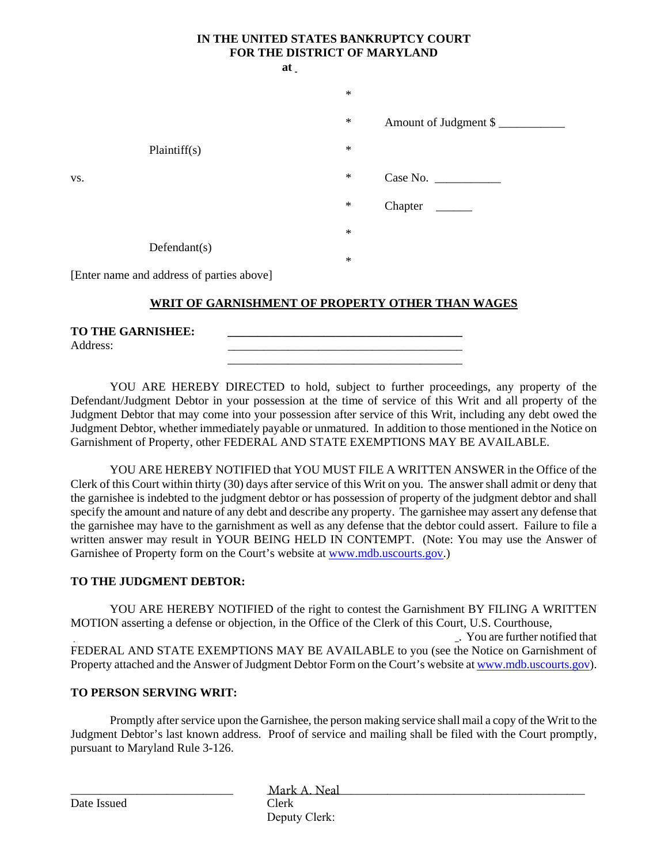# **IN THE UNITED STATES BANKRUPTCY COURT FOR THE DISTRICT OF MARYLAND**

|     |                                           | $at_$ |        |                       |
|-----|-------------------------------------------|-------|--------|-----------------------|
|     |                                           |       | $\ast$ |                       |
|     |                                           |       | $\ast$ | Amount of Judgment \$ |
|     | Plaintiff(s)                              |       | $\ast$ |                       |
| VS. |                                           |       | $\ast$ | Case No.              |
|     |                                           |       | $\ast$ | Chapter               |
|     |                                           |       | $\ast$ |                       |
|     | Defendant(s)                              |       | $\ast$ |                       |
|     | [Enter name and address of parties above] |       |        |                       |

## **WRIT OF GARNISHMENT OF PROPERTY OTHER THAN WAGES**

| <b>TO THE GARNISHEE:</b> |  |
|--------------------------|--|
| Address:                 |  |
|                          |  |

YOU ARE HEREBY DIRECTED to hold, subject to further proceedings, any property of the Defendant/Judgment Debtor in your possession at the time of service of this Writ and all property of the Judgment Debtor that may come into your possession after service of this Writ, including any debt owed the Judgment Debtor, whether immediately payable or unmatured. In addition to those mentioned in the Notice on Garnishment of Property, other FEDERAL AND STATE EXEMPTIONS MAY BE AVAILABLE.

YOU ARE HEREBY NOTIFIED that YOU MUST FILE A WRITTEN ANSWER in the Office of the Clerk of this Court within thirty (30) days after service of this Writ on you. The answer shall admit or deny that the garnishee is indebted to the judgment debtor or has possession of property of the judgment debtor and shall specify the amount and nature of any debt and describe any property. The garnishee may assert any defense that the garnishee may have to the garnishment as well as any defense that the debtor could assert. Failure to file a written answer may result in YOUR BEING HELD IN CONTEMPT. (Note: You may use the Answer of Garnishee of Property form on the Court's website at www.mdb.uscourts.gov.)

#### **TO THE JUDGMENT DEBTOR:**

YOU ARE HEREBY NOTIFIED of the right to contest the Garnishment BY FILING A WRITTEN MOTION asserting a defense or objection, in the Office of the Clerk of this Court, U.S. Courthouse,

 \_\_\_\_\_\_\_\_\_\_\_\_\_\_\_\_\_\_\_\_\_\_\_\_\_\_\_\_\_\_\_\_\_\_\_\_\_\_\_\_\_\_\_\_\_\_\_\_\_\_\_\_\_\_\_\_\_\_\_\_\_\_\_\_. You are further notified that FEDERAL AND STATE EXEMPTIONS MAY BE AVAILABLE to you (see the Notice on Garnishment of Property attached and the Answer of Judgment Debtor Form on the Court's website at www.mdb.uscourts.gov).

#### **TO PERSON SERVING WRIT:**

\_\_\_\_\_\_\_\_\_\_\_\_\_\_\_\_\_\_\_\_\_\_\_\_\_\_\_

Promptly after service upon the Garnishee, the person making service shall mail a copy of the Writ to the Judgment Debtor's last known address. Proof of service and mailing shall be filed with the Court promptly, pursuant to Maryland Rule 3-126.

Date Issued

Mark A. Neal Clerk Deputy Clerk: